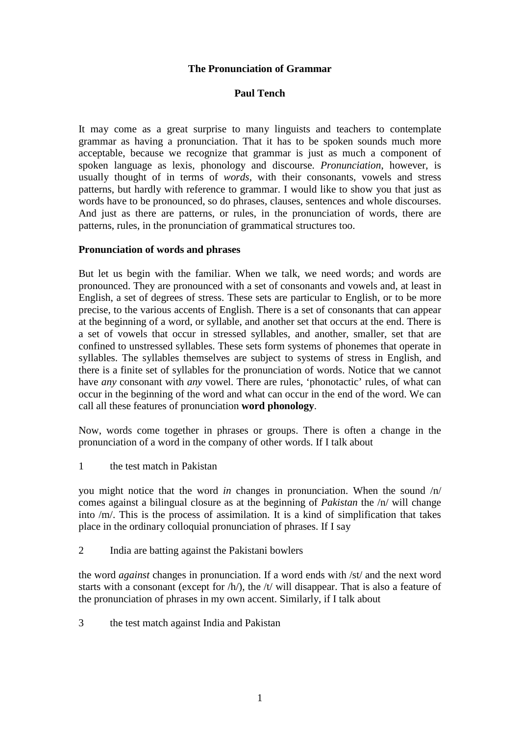### **The Pronunciation of Grammar**

### **Paul Tench**

It may come as a great surprise to many linguists and teachers to contemplate grammar as having a pronunciation. That it has to be spoken sounds much more acceptable, because we recognize that grammar is just as much a component of spoken language as lexis, phonology and discourse. *Pronunciation*, however, is usually thought of in terms of *words*, with their consonants, vowels and stress patterns, but hardly with reference to grammar. I would like to show you that just as words have to be pronounced, so do phrases, clauses, sentences and whole discourses. And just as there are patterns, or rules, in the pronunciation of words, there are patterns, rules, in the pronunciation of grammatical structures too.

#### **Pronunciation of words and phrases**

But let us begin with the familiar. When we talk, we need words; and words are pronounced. They are pronounced with a set of consonants and vowels and, at least in English, a set of degrees of stress. These sets are particular to English, or to be more precise, to the various accents of English. There is a set of consonants that can appear at the beginning of a word, or syllable, and another set that occurs at the end. There is a set of vowels that occur in stressed syllables, and another, smaller, set that are confined to unstressed syllables. These sets form systems of phonemes that operate in syllables. The syllables themselves are subject to systems of stress in English, and there is a finite set of syllables for the pronunciation of words. Notice that we cannot have *any* consonant with *any* vowel. There are rules, 'phonotactic' rules, of what can occur in the beginning of the word and what can occur in the end of the word. We can call all these features of pronunciation **word phonology**.

Now, words come together in phrases or groups. There is often a change in the pronunciation of a word in the company of other words. If I talk about

1 the test match in Pakistan

you might notice that the word *in* changes in pronunciation. When the sound /n/ comes against a bilingual closure as at the beginning of *Pakistan* the /n/ will change into /m/. This is the process of assimilation. It is a kind of simplification that takes place in the ordinary colloquial pronunciation of phrases. If I say

2 India are batting against the Pakistani bowlers

the word *against* changes in pronunciation. If a word ends with /st/ and the next word starts with a consonant (except for /h/), the /t/ will disappear. That is also a feature of the pronunciation of phrases in my own accent. Similarly, if I talk about

3 the test match against India and Pakistan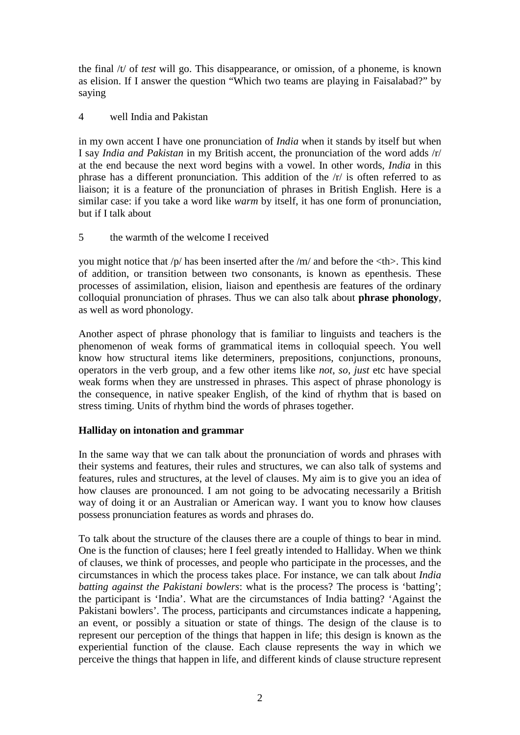the final /t/ of *test* will go. This disappearance, or omission, of a phoneme, is known as elision. If I answer the question "Which two teams are playing in Faisalabad?" by saying

### 4 well India and Pakistan

in my own accent I have one pronunciation of *India* when it stands by itself but when I say *India and Pakistan* in my British accent, the pronunciation of the word adds /r/ at the end because the next word begins with a vowel. In other words, *India* in this phrase has a different pronunciation. This addition of the /r/ is often referred to as liaison; it is a feature of the pronunciation of phrases in British English. Here is a similar case: if you take a word like *warm* by itself, it has one form of pronunciation, but if I talk about

5 the warmth of the welcome I received

you might notice that  $/p$  has been inserted after the  $/m/$  and before the  $\lt$ th $>$ . This kind of addition, or transition between two consonants, is known as epenthesis. These processes of assimilation, elision, liaison and epenthesis are features of the ordinary colloquial pronunciation of phrases. Thus we can also talk about **phrase phonology**, as well as word phonology.

Another aspect of phrase phonology that is familiar to linguists and teachers is the phenomenon of weak forms of grammatical items in colloquial speech. You well know how structural items like determiners, prepositions, conjunctions, pronouns, operators in the verb group, and a few other items like *not, so, just* etc have special weak forms when they are unstressed in phrases. This aspect of phrase phonology is the consequence, in native speaker English, of the kind of rhythm that is based on stress timing. Units of rhythm bind the words of phrases together.

# **Halliday on intonation and grammar**

In the same way that we can talk about the pronunciation of words and phrases with their systems and features, their rules and structures, we can also talk of systems and features, rules and structures, at the level of clauses. My aim is to give you an idea of how clauses are pronounced. I am not going to be advocating necessarily a British way of doing it or an Australian or American way. I want you to know how clauses possess pronunciation features as words and phrases do.

To talk about the structure of the clauses there are a couple of things to bear in mind. One is the function of clauses; here I feel greatly intended to Halliday. When we think of clauses, we think of processes, and people who participate in the processes, and the circumstances in which the process takes place. For instance, we can talk about *India batting against the Pakistani bowlers*: what is the process? The process is 'batting'; the participant is 'India'. What are the circumstances of India batting? 'Against the Pakistani bowlers'. The process, participants and circumstances indicate a happening, an event, or possibly a situation or state of things. The design of the clause is to represent our perception of the things that happen in life; this design is known as the experiential function of the clause. Each clause represents the way in which we perceive the things that happen in life, and different kinds of clause structure represent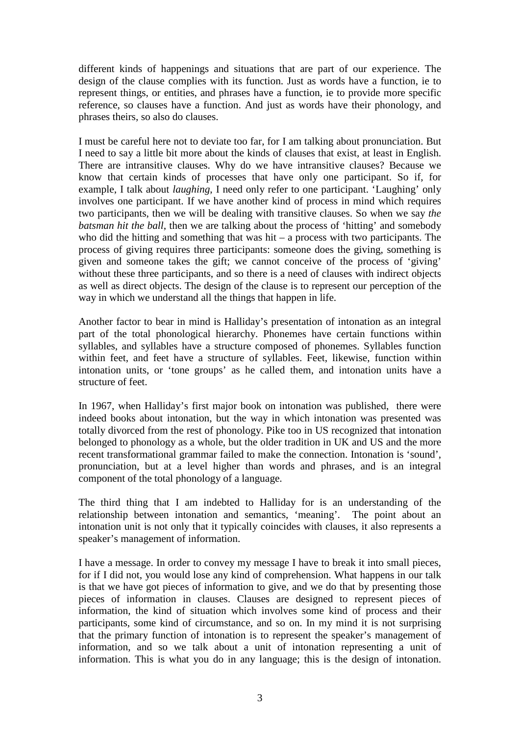different kinds of happenings and situations that are part of our experience. The design of the clause complies with its function. Just as words have a function, ie to represent things, or entities, and phrases have a function, ie to provide more specific reference, so clauses have a function. And just as words have their phonology, and phrases theirs, so also do clauses.

I must be careful here not to deviate too far, for I am talking about pronunciation. But I need to say a little bit more about the kinds of clauses that exist, at least in English. There are intransitive clauses. Why do we have intransitive clauses? Because we know that certain kinds of processes that have only one participant. So if, for example, I talk about *laughing*, I need only refer to one participant. 'Laughing' only involves one participant. If we have another kind of process in mind which requires two participants, then we will be dealing with transitive clauses. So when we say *the batsman hit the ball*, then we are talking about the process of 'hitting' and somebody who did the hitting and something that was hit – a process with two participants. The process of giving requires three participants: someone does the giving, something is given and someone takes the gift; we cannot conceive of the process of 'giving' without these three participants, and so there is a need of clauses with indirect objects as well as direct objects. The design of the clause is to represent our perception of the way in which we understand all the things that happen in life.

Another factor to bear in mind is Halliday's presentation of intonation as an integral part of the total phonological hierarchy. Phonemes have certain functions within syllables, and syllables have a structure composed of phonemes. Syllables function within feet, and feet have a structure of syllables. Feet, likewise, function within intonation units, or 'tone groups' as he called them, and intonation units have a structure of feet.

In 1967, when Halliday's first major book on intonation was published, there were indeed books about intonation, but the way in which intonation was presented was totally divorced from the rest of phonology. Pike too in US recognized that intonation belonged to phonology as a whole, but the older tradition in UK and US and the more recent transformational grammar failed to make the connection. Intonation is 'sound', pronunciation, but at a level higher than words and phrases, and is an integral component of the total phonology of a language.

The third thing that I am indebted to Halliday for is an understanding of the relationship between intonation and semantics, 'meaning'. The point about an intonation unit is not only that it typically coincides with clauses, it also represents a speaker's management of information.

I have a message. In order to convey my message I have to break it into small pieces, for if I did not, you would lose any kind of comprehension. What happens in our talk is that we have got pieces of information to give, and we do that by presenting those pieces of information in clauses. Clauses are designed to represent pieces of information, the kind of situation which involves some kind of process and their participants, some kind of circumstance, and so on. In my mind it is not surprising that the primary function of intonation is to represent the speaker's management of information, and so we talk about a unit of intonation representing a unit of information. This is what you do in any language; this is the design of intonation.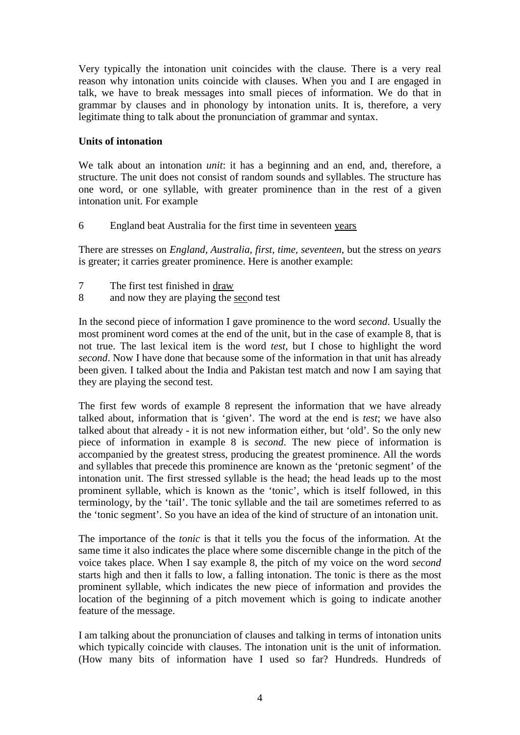Very typically the intonation unit coincides with the clause. There is a very real reason why intonation units coincide with clauses. When you and I are engaged in talk, we have to break messages into small pieces of information. We do that in grammar by clauses and in phonology by intonation units. It is, therefore, a very legitimate thing to talk about the pronunciation of grammar and syntax.

### **Units of intonation**

We talk about an intonation *unit*: it has a beginning and an end, and, therefore, a structure. The unit does not consist of random sounds and syllables. The structure has one word, or one syllable, with greater prominence than in the rest of a given intonation unit. For example

6 England beat Australia for the first time in seventeen years

There are stresses on *England, Australia, first, time, seventeen*, but the stress on *years*  is greater; it carries greater prominence. Here is another example:

- 7 The first test finished in draw
- 8 and now they are playing the second test

In the second piece of information I gave prominence to the word *second*. Usually the most prominent word comes at the end of the unit, but in the case of example 8, that is not true. The last lexical item is the word *test*, but I chose to highlight the word *second*. Now I have done that because some of the information in that unit has already been given. I talked about the India and Pakistan test match and now I am saying that they are playing the second test.

The first few words of example 8 represent the information that we have already talked about, information that is 'given'. The word at the end is *test*; we have also talked about that already - it is not new information either, but 'old'. So the only new piece of information in example 8 is *second*. The new piece of information is accompanied by the greatest stress, producing the greatest prominence. All the words and syllables that precede this prominence are known as the 'pretonic segment' of the intonation unit. The first stressed syllable is the head; the head leads up to the most prominent syllable, which is known as the 'tonic', which is itself followed, in this terminology, by the 'tail'. The tonic syllable and the tail are sometimes referred to as the 'tonic segment'. So you have an idea of the kind of structure of an intonation unit.

The importance of the *tonic* is that it tells you the focus of the information. At the same time it also indicates the place where some discernible change in the pitch of the voice takes place. When I say example 8, the pitch of my voice on the word *second* starts high and then it falls to low, a falling intonation. The tonic is there as the most prominent syllable, which indicates the new piece of information and provides the location of the beginning of a pitch movement which is going to indicate another feature of the message.

I am talking about the pronunciation of clauses and talking in terms of intonation units which typically coincide with clauses. The intonation unit is the unit of information. (How many bits of information have I used so far? Hundreds. Hundreds of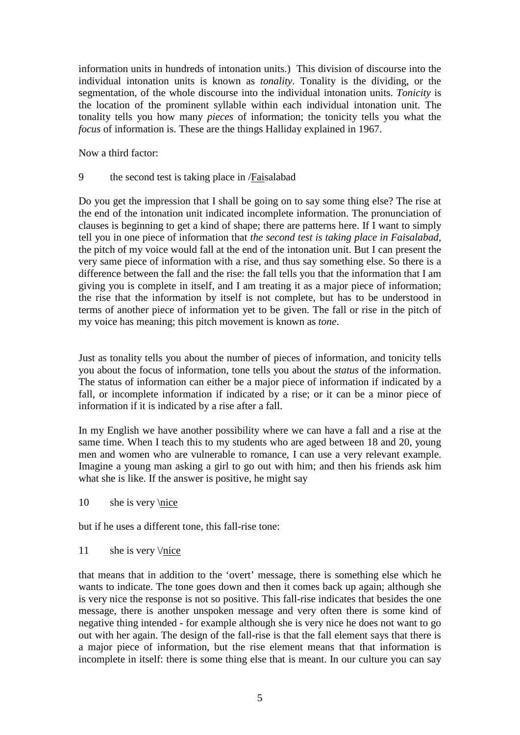information units in hundreds of intonation units.) This division of discourse into the individual intonation units is known as *tonality*. Tonality is the dividing, or the segmentation, of the whole discourse into the individual intonation units. *Tonicity* is the location of the prominent syllable within each individual intonation unit. The tonality tells you how many *pieces* of information; the tonicity tells you what the *focus* of information is. These are the things Halliday explained in 1967.

Now a third factor:

9 the second test is taking place in /Faisalabad

Do you get the impression that I shall be going on to say some thing else? The rise at the end of the intonation unit indicated incomplete information. The pronunciation of clauses is beginning to get a kind of shape; there are patterns here. If I want to simply tell you in one piece of information that *the second test is taking place in Faisalabad*, the pitch of my voice would fall at the end of the intonation unit. But I can present the very same piece of information with a rise, and thus say something else. So there is a difference between the fall and the rise: the fall tells you that the information that I am giving you is complete in itself, and I am treating it as a major piece of information; the rise that the information by itself is not complete, but has to be understood in terms of another piece of information yet to be given. The fall or rise in the pitch of my voice has meaning; this pitch movement is known as *tone*.

Just as tonality tells you about the number of pieces of information, and tonicity tells you about the focus of information, tone tells you about the *status* of the information. The status of information can either be a major piece of information if indicated by a fall, or incomplete information if indicated by a rise; or it can be a minor piece of information if it is indicated by a rise after a fall.

In my English we have another possibility where we can have a fall and a rise at the same time. When I teach this to my students who are aged between 18 and 20, young men and women who are vulnerable to romance, I can use a very relevant example. Imagine a young man asking a girl to go out with him; and then his friends ask him what she is like. If the answer is positive, he might say

10 she is very \nice

but if he uses a different tone, this fall-rise tone:

11 she is very  $\forall$ nice

that means that in addition to the 'overt' message, there is something else which he wants to indicate. The tone goes down and then it comes back up again; although she is very nice the response is not so positive. This fall-rise indicates that besides the one message, there is another unspoken message and very often there is some kind of negative thing intended - for example although she is very nice he does not want to go out with her again. The design of the fall-rise is that the fall element says that there is a major piece of information, but the rise element means that that information is incomplete in itself: there is some thing else that is meant. In our culture you can say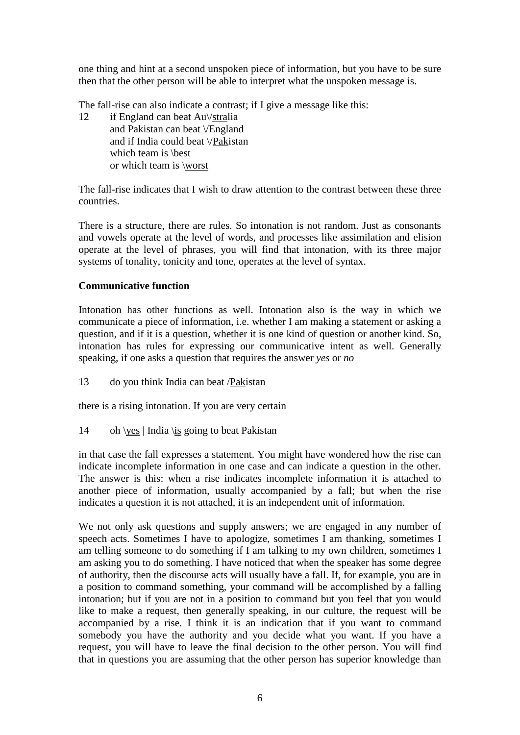one thing and hint at a second unspoken piece of information, but you have to be sure then that the other person will be able to interpret what the unspoken message is.

The fall-rise can also indicate a contrast; if I give a message like this:

12 if England can beat Au\/stralia and Pakistan can beat \/England and if India could beat \/Pakistan which team is \best or which team is \worst

The fall-rise indicates that I wish to draw attention to the contrast between these three countries.

There is a structure, there are rules. So intonation is not random. Just as consonants and vowels operate at the level of words, and processes like assimilation and elision operate at the level of phrases, you will find that intonation, with its three major systems of tonality, tonicity and tone, operates at the level of syntax.

### **Communicative function**

Intonation has other functions as well. Intonation also is the way in which we communicate a piece of information, i.e. whether I am making a statement or asking a question, and if it is a question, whether it is one kind of question or another kind. So, intonation has rules for expressing our communicative intent as well. Generally speaking, if one asks a question that requires the answer *yes* or *no*

13 do you think India can beat /Pakistan

there is a rising intonation. If you are very certain

14 oh \yes | India \is going to beat Pakistan

in that case the fall expresses a statement. You might have wondered how the rise can indicate incomplete information in one case and can indicate a question in the other. The answer is this: when a rise indicates incomplete information it is attached to another piece of information, usually accompanied by a fall; but when the rise indicates a question it is not attached, it is an independent unit of information.

We not only ask questions and supply answers; we are engaged in any number of speech acts. Sometimes I have to apologize, sometimes I am thanking, sometimes I am telling someone to do something if I am talking to my own children, sometimes I am asking you to do something. I have noticed that when the speaker has some degree of authority, then the discourse acts will usually have a fall. If, for example, you are in a position to command something, your command will be accomplished by a falling intonation; but if you are not in a position to command but you feel that you would like to make a request, then generally speaking, in our culture, the request will be accompanied by a rise. I think it is an indication that if you want to command somebody you have the authority and you decide what you want. If you have a request, you will have to leave the final decision to the other person. You will find that in questions you are assuming that the other person has superior knowledge than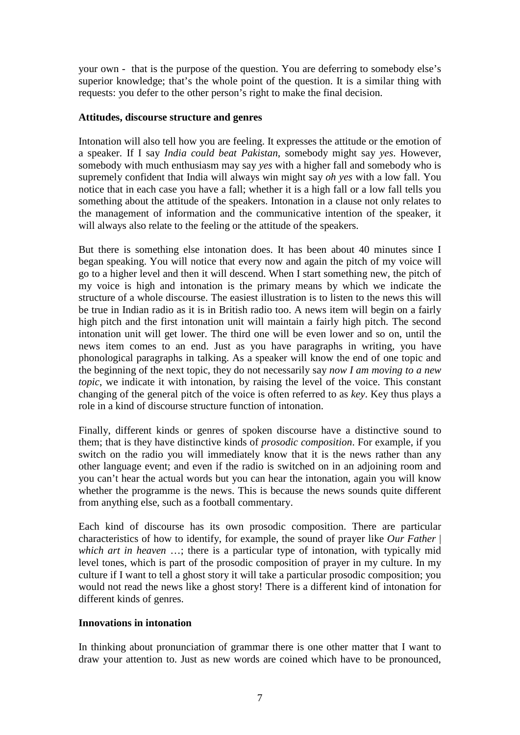your own - that is the purpose of the question. You are deferring to somebody else's superior knowledge; that's the whole point of the question. It is a similar thing with requests: you defer to the other person's right to make the final decision.

### **Attitudes, discourse structure and genres**

Intonation will also tell how you are feeling. It expresses the attitude or the emotion of a speaker. If I say *India could beat Pakistan*, somebody might say *yes*. However, somebody with much enthusiasm may say *yes* with a higher fall and somebody who is supremely confident that India will always win might say *oh yes* with a low fall. You notice that in each case you have a fall; whether it is a high fall or a low fall tells you something about the attitude of the speakers. Intonation in a clause not only relates to the management of information and the communicative intention of the speaker, it will always also relate to the feeling or the attitude of the speakers.

But there is something else intonation does. It has been about 40 minutes since I began speaking. You will notice that every now and again the pitch of my voice will go to a higher level and then it will descend. When I start something new, the pitch of my voice is high and intonation is the primary means by which we indicate the structure of a whole discourse. The easiest illustration is to listen to the news this will be true in Indian radio as it is in British radio too. A news item will begin on a fairly high pitch and the first intonation unit will maintain a fairly high pitch. The second intonation unit will get lower. The third one will be even lower and so on, until the news item comes to an end. Just as you have paragraphs in writing, you have phonological paragraphs in talking. As a speaker will know the end of one topic and the beginning of the next topic, they do not necessarily say *now I am moving to a new topic*, we indicate it with intonation, by raising the level of the voice. This constant changing of the general pitch of the voice is often referred to as *key*. Key thus plays a role in a kind of discourse structure function of intonation.

Finally, different kinds or genres of spoken discourse have a distinctive sound to them; that is they have distinctive kinds of *prosodic composition*. For example, if you switch on the radio you will immediately know that it is the news rather than any other language event; and even if the radio is switched on in an adjoining room and you can't hear the actual words but you can hear the intonation, again you will know whether the programme is the news. This is because the news sounds quite different from anything else, such as a football commentary.

Each kind of discourse has its own prosodic composition. There are particular characteristics of how to identify, for example, the sound of prayer like *Our Father* | *which art in heaven* …; there is a particular type of intonation, with typically mid level tones, which is part of the prosodic composition of prayer in my culture. In my culture if I want to tell a ghost story it will take a particular prosodic composition; you would not read the news like a ghost story! There is a different kind of intonation for different kinds of genres.

# **Innovations in intonation**

In thinking about pronunciation of grammar there is one other matter that I want to draw your attention to. Just as new words are coined which have to be pronounced,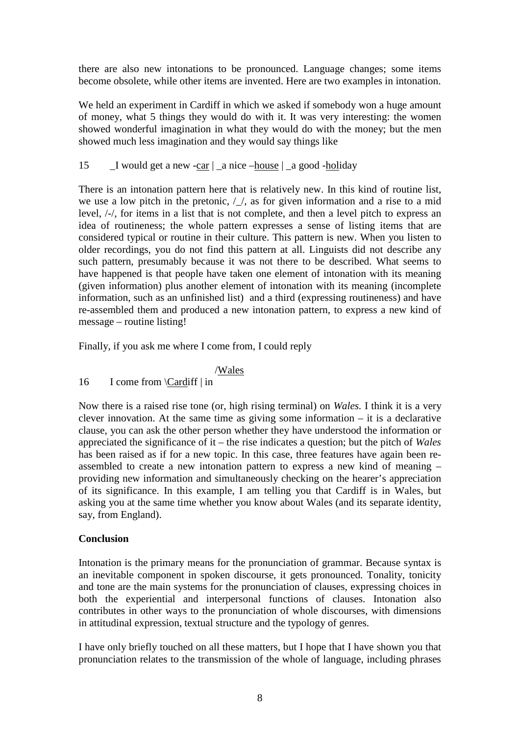there are also new intonations to be pronounced. Language changes; some items become obsolete, while other items are invented. Here are two examples in intonation.

We held an experiment in Cardiff in which we asked if somebody won a huge amount of money, what 5 things they would do with it. It was very interesting: the women showed wonderful imagination in what they would do with the money; but the men showed much less imagination and they would say things like

### 15  $\Box$  I would get a new -car  $\vert$   $\Box$  a nice  $\Box$   $\Box$  a good -holiday

There is an intonation pattern here that is relatively new. In this kind of routine list, we use a low pitch in the pretonic,  $/\sqrt{ }$ , as for given information and a rise to a mid level, /-/, for items in a list that is not complete, and then a level pitch to express an idea of routineness; the whole pattern expresses a sense of listing items that are considered typical or routine in their culture. This pattern is new. When you listen to older recordings, you do not find this pattern at all. Linguists did not describe any such pattern, presumably because it was not there to be described. What seems to have happened is that people have taken one element of intonation with its meaning (given information) plus another element of intonation with its meaning (incomplete information, such as an unfinished list) and a third (expressing routineness) and have re-assembled them and produced a new intonation pattern, to express a new kind of message – routine listing!

Finally, if you ask me where I come from, I could reply

#### /Wales

16 I come from \Cardiff | in

Now there is a raised rise tone (or, high rising terminal) on *Wales.* I think it is a very clever innovation. At the same time as giving some information – it is a declarative clause, you can ask the other person whether they have understood the information or appreciated the significance of it – the rise indicates a question; but the pitch of *Wales* has been raised as if for a new topic. In this case, three features have again been reassembled to create a new intonation pattern to express a new kind of meaning – providing new information and simultaneously checking on the hearer's appreciation of its significance. In this example, I am telling you that Cardiff is in Wales, but asking you at the same time whether you know about Wales (and its separate identity, say, from England).

# **Conclusion**

Intonation is the primary means for the pronunciation of grammar. Because syntax is an inevitable component in spoken discourse, it gets pronounced. Tonality, tonicity and tone are the main systems for the pronunciation of clauses, expressing choices in both the experiential and interpersonal functions of clauses. Intonation also contributes in other ways to the pronunciation of whole discourses, with dimensions in attitudinal expression, textual structure and the typology of genres.

I have only briefly touched on all these matters, but I hope that I have shown you that pronunciation relates to the transmission of the whole of language, including phrases